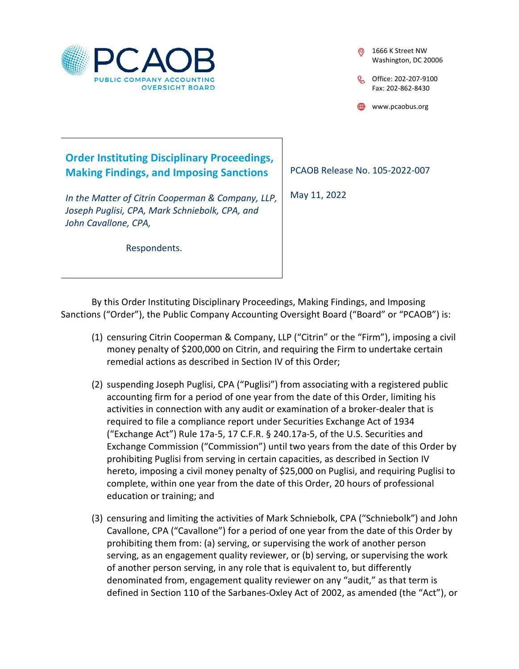

1666 K Street NW Washington, DC 20006

C Office: 202-207-9100 Fax: 202-862-8430

www.pcaobus.org

## **Order Instituting Disciplinary Proceedings, Making Findings, and Imposing Sanctions**

*In the Matter of Citrin Cooperman & Company, LLP, Joseph Puglisi, CPA, Mark Schniebolk, CPA, and John Cavallone, CPA,* 

Respondents.

PCAOB Release No. 105-2022-007

May 11, 2022

By this Order Instituting Disciplinary Proceedings, Making Findings, and Imposing Sanctions ("Order"), the Public Company Accounting Oversight Board ("Board" or "PCAOB") is:

- (1) censuring Citrin Cooperman & Company, LLP ("Citrin" or the "Firm"), imposing a civil money penalty of \$200,000 on Citrin, and requiring the Firm to undertake certain remedial actions as described in Section IV of this Order;
- (2) suspending Joseph Puglisi, CPA ("Puglisi") from associating with a registered public accounting firm for a period of one year from the date of this Order, limiting his activities in connection with any audit or examination of a broker-dealer that is required to file a compliance report under Securities Exchange Act of 1934 ("Exchange Act") Rule 17a-5, 17 C.F.R. § 240.17a-5, of the U.S. Securities and Exchange Commission ("Commission") until two years from the date of this Order by prohibiting Puglisi from serving in certain capacities, as described in Section IV hereto, imposing a civil money penalty of \$25,000 on Puglisi, and requiring Puglisi to complete, within one year from the date of this Order, 20 hours of professional education or training; and
- (3) censuring and limiting the activities of Mark Schniebolk, CPA ("Schniebolk") and John Cavallone, CPA ("Cavallone") for a period of one year from the date of this Order by prohibiting them from: (a) serving, or supervising the work of another person serving, as an engagement quality reviewer, or (b) serving, or supervising the work of another person serving, in any role that is equivalent to, but differently denominated from, engagement quality reviewer on any "audit," as that term is defined in Section 110 of the Sarbanes-Oxley Act of 2002, as amended (the "Act"), or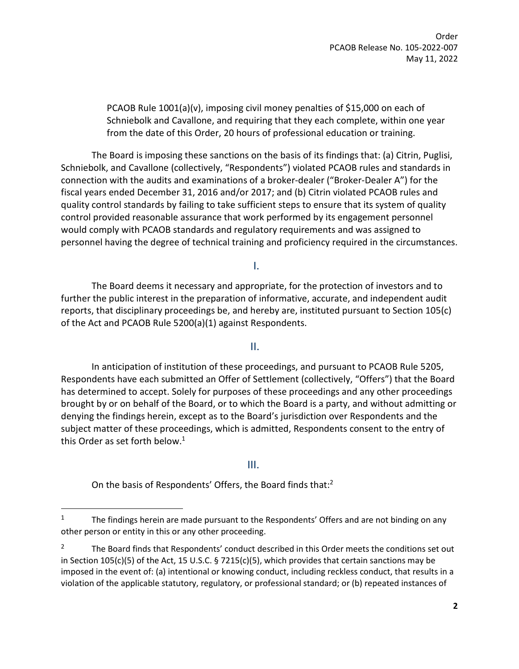Order PCAOB Release No. 105-2022-007 May 11, 2022

PCAOB Rule 1001(a)(v), imposing civil money penalties of \$15,000 on each of Schniebolk and Cavallone, and requiring that they each complete, within one year from the date of this Order, 20 hours of professional education or training.

The Board is imposing these sanctions on the basis of its findings that: (a) Citrin, Puglisi, Schniebolk, and Cavallone (collectively, "Respondents") violated PCAOB rules and standards in connection with the audits and examinations of a broker-dealer ("Broker-Dealer A") for the fiscal years ended December 31, 2016 and/or 2017; and (b) Citrin violated PCAOB rules and quality control standards by failing to take sufficient steps to ensure that its system of quality control provided reasonable assurance that work performed by its engagement personnel would comply with PCAOB standards and regulatory requirements and was assigned to personnel having the degree of technical training and proficiency required in the circumstances.

I.

The Board deems it necessary and appropriate, for the protection of investors and to further the public interest in the preparation of informative, accurate, and independent audit reports, that disciplinary proceedings be, and hereby are, instituted pursuant to Section 105(c) of the Act and PCAOB Rule 5200(a)(1) against Respondents.

II.

In anticipation of institution of these proceedings, and pursuant to PCAOB Rule 5205, Respondents have each submitted an Offer of Settlement (collectively, "Offers") that the Board has determined to accept. Solely for purposes of these proceedings and any other proceedings brought by or on behalf of the Board, or to which the Board is a party, and without admitting or denying the findings herein, except as to the Board's jurisdiction over Respondents and the subject matter of these proceedings, which is admitted, Respondents consent to the entry of this Order as set forth below. $1$ 

III.

On the basis of Respondents' Offers, the Board finds that:<sup>2</sup>

<sup>1</sup> The findings herein are made pursuant to the Respondents' Offers and are not binding on any other person or entity in this or any other proceeding.

<sup>2</sup> The Board finds that Respondents' conduct described in this Order meets the conditions set out in Section 105(c)(5) of the Act, 15 U.S.C. § 7215(c)(5), which provides that certain sanctions may be imposed in the event of: (a) intentional or knowing conduct, including reckless conduct, that results in a violation of the applicable statutory, regulatory, or professional standard; or (b) repeated instances of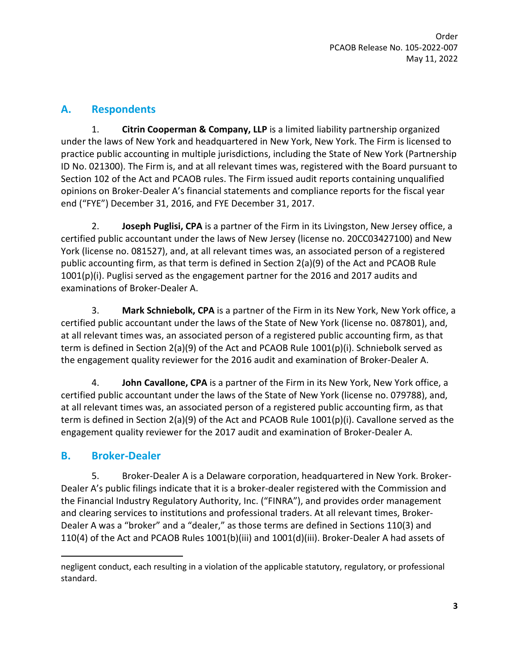## **A. Respondents**

1. **Citrin Cooperman & Company, LLP** is a limited liability partnership organized under the laws of New York and headquartered in New York, New York. The Firm is licensed to practice public accounting in multiple jurisdictions, including the State of New York (Partnership ID No. 021300). The Firm is, and at all relevant times was, registered with the Board pursuant to Section 102 of the Act and PCAOB rules. The Firm issued audit reports containing unqualified opinions on Broker-Dealer A's financial statements and compliance reports for the fiscal year end ("FYE") December 31, 2016, and FYE December 31, 2017.

2. **Joseph Puglisi, CPA** is a partner of the Firm in its Livingston, New Jersey office, a certified public accountant under the laws of New Jersey (license no. 20CC03427100) and New York (license no. 081527), and, at all relevant times was, an associated person of a registered public accounting firm, as that term is defined in Section 2(a)(9) of the Act and PCAOB Rule 1001(p)(i). Puglisi served as the engagement partner for the 2016 and 2017 audits and examinations of Broker-Dealer A.

3. **Mark Schniebolk, CPA** is a partner of the Firm in its New York, New York office, a certified public accountant under the laws of the State of New York (license no. 087801), and, at all relevant times was, an associated person of a registered public accounting firm, as that term is defined in Section 2(a)(9) of the Act and PCAOB Rule 1001(p)(i). Schniebolk served as the engagement quality reviewer for the 2016 audit and examination of Broker-Dealer A.

4. **John Cavallone, CPA** is a partner of the Firm in its New York, New York office, a certified public accountant under the laws of the State of New York (license no. 079788), and, at all relevant times was, an associated person of a registered public accounting firm, as that term is defined in Section 2(a)(9) of the Act and PCAOB Rule 1001(p)(i). Cavallone served as the engagement quality reviewer for the 2017 audit and examination of Broker-Dealer A.

## **B. Broker-Dealer**

5. Broker-Dealer A is a Delaware corporation, headquartered in New York. Broker-Dealer A's public filings indicate that it is a broker-dealer registered with the Commission and the Financial Industry Regulatory Authority, Inc. ("FINRA"), and provides order management and clearing services to institutions and professional traders. At all relevant times, Broker-Dealer A was a "broker" and a "dealer," as those terms are defined in Sections 110(3) and 110(4) of the Act and PCAOB Rules 1001(b)(iii) and 1001(d)(iii). Broker-Dealer A had assets of

negligent conduct, each resulting in a violation of the applicable statutory, regulatory, or professional standard.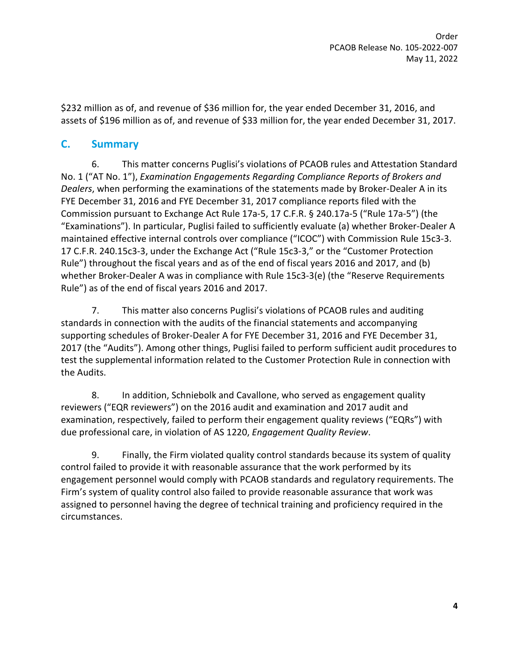\$232 million as of, and revenue of \$36 million for, the year ended December 31, 2016, and assets of \$196 million as of, and revenue of \$33 million for, the year ended December 31, 2017.

### **C. Summary**

6. This matter concerns Puglisi's violations of PCAOB rules and Attestation Standard No. 1 ("AT No. 1"), *Examination Engagements Regarding Compliance Reports of Brokers and Dealers*, when performing the examinations of the statements made by Broker-Dealer A in its FYE December 31, 2016 and FYE December 31, 2017 compliance reports filed with the Commission pursuant to Exchange Act Rule 17a-5, 17 C.F.R. § 240.17a-5 ("Rule 17a-5") (the "Examinations"). In particular, Puglisi failed to sufficiently evaluate (a) whether Broker-Dealer A maintained effective internal controls over compliance ("ICOC") with Commission Rule 15c3-3. 17 C.F.R. 240.15c3-3, under the Exchange Act ("Rule 15c3-3," or the "Customer Protection Rule") throughout the fiscal years and as of the end of fiscal years 2016 and 2017, and (b) whether Broker-Dealer A was in compliance with Rule 15c3-3(e) (the "Reserve Requirements Rule") as of the end of fiscal years 2016 and 2017.

7. This matter also concerns Puglisi's violations of PCAOB rules and auditing standards in connection with the audits of the financial statements and accompanying supporting schedules of Broker-Dealer A for FYE December 31, 2016 and FYE December 31, 2017 (the "Audits"). Among other things, Puglisi failed to perform sufficient audit procedures to test the supplemental information related to the Customer Protection Rule in connection with the Audits.

8. In addition, Schniebolk and Cavallone, who served as engagement quality reviewers ("EQR reviewers") on the 2016 audit and examination and 2017 audit and examination, respectively, failed to perform their engagement quality reviews ("EQRs") with due professional care, in violation of AS 1220, *Engagement Quality Review*.

9. Finally, the Firm violated quality control standards because its system of quality control failed to provide it with reasonable assurance that the work performed by its engagement personnel would comply with PCAOB standards and regulatory requirements. The Firm's system of quality control also failed to provide reasonable assurance that work was assigned to personnel having the degree of technical training and proficiency required in the circumstances.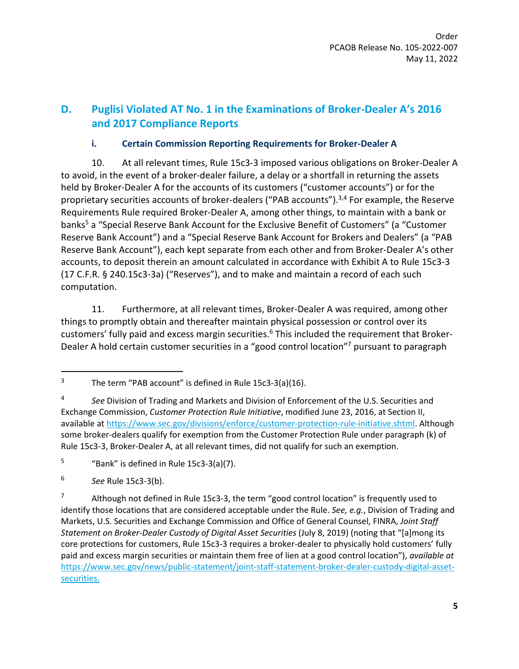# **D. Puglisi Violated AT No. 1 in the Examinations of Broker-Dealer A's 2016 and 2017 Compliance Reports**

#### **i. Certain Commission Reporting Requirements for Broker-Dealer A**

10. At all relevant times, Rule 15c3-3 imposed various obligations on Broker-Dealer A to avoid, in the event of a broker-dealer failure, a delay or a shortfall in returning the assets held by Broker-Dealer A for the accounts of its customers ("customer accounts") or for the proprietary securities accounts of broker-dealers ("PAB accounts").<sup>3,4</sup> For example, the Reserve Requirements Rule required Broker-Dealer A, among other things, to maintain with a bank or banks<sup>5</sup> a "Special Reserve Bank Account for the Exclusive Benefit of Customers" (a "Customer Reserve Bank Account") and a "Special Reserve Bank Account for Brokers and Dealers" (a "PAB Reserve Bank Account"), each kept separate from each other and from Broker-Dealer A's other accounts, to deposit therein an amount calculated in accordance with Exhibit A to Rule 15c3-3 (17 C.F.R. § 240.15c3-3a) ("Reserves"), and to make and maintain a record of each such computation.

11. Furthermore, at all relevant times, Broker-Dealer A was required, among other things to promptly obtain and thereafter maintain physical possession or control over its customers' fully paid and excess margin securities.<sup>6</sup> This included the requirement that Broker-Dealer A hold certain customer securities in a "good control location"<sup>7</sup> pursuant to paragraph

<sup>3</sup> The term "PAB account" is defined in Rule 15c3-3(a)(16).

<sup>4</sup> *See* Division of Trading and Markets and Division of Enforcement of the U.S. Securities and Exchange Commission, *Customer Protection Rule Initiative*, modified June 23, 2016, at Section II, available a[t https://www.sec.gov/divisions/enforce/customer-protection-rule-initiative.shtml.](https://www.sec.gov/divisions/enforce/customer-protection-rule-initiative.shtml) Although some broker-dealers qualify for exemption from the Customer Protection Rule under paragraph (k) of Rule 15c3-3, Broker-Dealer A, at all relevant times, did not qualify for such an exemption.

<sup>5</sup> "Bank" is defined in Rule 15c3-3(a)(7).

<sup>6</sup> *See* Rule 15c3-3(b).

<sup>7</sup> Although not defined in Rule 15c3-3, the term "good control location" is frequently used to identify those locations that are considered acceptable under the Rule. *See, e.g.*, Division of Trading and Markets, U.S. Securities and Exchange Commission and Office of General Counsel, FINRA, *Joint Staff Statement on Broker-Dealer Custody of Digital Asset Securities* (July 8, 2019) (noting that "[a]mong its core protections for customers, Rule 15c3-3 requires a broker-dealer to physically hold customers' fully paid and excess margin securities or maintain them free of lien at a good control location"), *available at* [https://www.sec.gov/news/public-statement/joint-staff-statement-broker-dealer-custody-digital-asset](https://www.sec.gov/news/public-statement/joint-staff-statement-broker-dealer-custody-digital-asset-securities#_ftn13)[securities.](https://www.sec.gov/news/public-statement/joint-staff-statement-broker-dealer-custody-digital-asset-securities#_ftn13)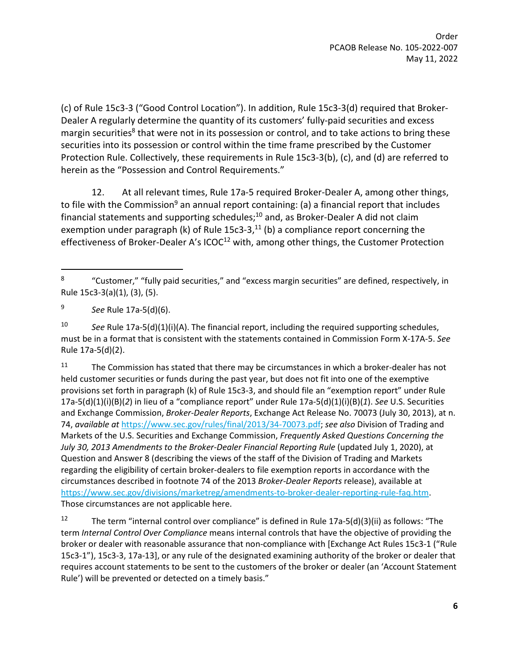(c) of Rule 15c3-3 ("Good Control Location"). In addition, Rule 15c3-3(d) required that Broker-Dealer A regularly determine the quantity of its customers' fully-paid securities and excess margin securities<sup>8</sup> that were not in its possession or control, and to take actions to bring these securities into its possession or control within the time frame prescribed by the Customer Protection Rule. Collectively, these requirements in Rule 15c3-3(b), (c), and (d) are referred to herein as the "Possession and Control Requirements."

<span id="page-5-0"></span>12. At all relevant times, Rule 17a-5 required Broker-Dealer A, among other things, to file with the Commission<sup>9</sup> an annual report containing: (a) a financial report that includes financial statements and supporting schedules; $^{10}$  and, as Broker-Dealer A did not claim exemption under paragraph (k) of Rule 15c3-3, $^{11}$  (b) a compliance report concerning the effectiveness of Broker-Dealer A's ICOC<sup>12</sup> with, among other things, the Customer Protection

10 *See* Rule 17a-5(d)(1)(i)(A). The financial report, including the required supporting schedules, must be in a format that is consistent with the statements contained in Commission Form X-17A-5. *See*  Rule 17a-5(d)(2).

 $11$  The Commission has stated that there may be circumstances in which a broker-dealer has not held customer securities or funds during the past year, but does not fit into one of the exemptive provisions set forth in paragraph (k) of Rule 15c3-3, and should file an "exemption report" under Rule 17a-5(d)(1)(i)(B)(*2*) in lieu of a "compliance report" under Rule 17a-5(d)(1)(i)(B)(*1*). *See* U.S. Securities and Exchange Commission, *Broker-Dealer Reports*, Exchange Act Release No. 70073 (July 30, 2013), at n. 74, *available at* [https://www.sec.gov/rules/final/2013/34-70073.pdf;](https://www.sec.gov/rules/final/2013/34-70073.pdf) *see also* Division of Trading and Markets of the U.S. Securities and Exchange Commission, *Frequently Asked Questions Concerning the July 30, 2013 Amendments to the Broker-Dealer Financial Reporting Rule* (updated July 1, 2020), at Question and Answer 8 (describing the views of the staff of the Division of Trading and Markets regarding the eligibility of certain broker-dealers to file exemption reports in accordance with the circumstances described in footnote 74 of the 2013 *Broker-Dealer Reports* release), available at [https://www.sec.gov/divisions/marketreg/amendments-to-broker-dealer-reporting-rule-faq.htm.](https://www.sec.gov/divisions/marketreg/amendments-to-broker-dealer-reporting-rule-faq.htm) Those circumstances are not applicable here.

<sup>12</sup> The term "internal control over compliance" is defined in Rule 17a-5(d)(3)(ii) as follows: "The term *Internal Control Over Compliance* means internal controls that have the objective of providing the broker or dealer with reasonable assurance that non-compliance with [Exchange Act Rules 15c3-1 ("Rule 15c3-1"), 15c3-3, 17a-13], or any rule of the designated examining authority of the broker or dealer that requires account statements to be sent to the customers of the broker or dealer (an 'Account Statement Rule') will be prevented or detected on a timely basis."

<sup>8</sup> "Customer," "fully paid securities," and "excess margin securities" are defined, respectively, in Rule 15c3-3(a)(1), (3), (5).

<sup>9</sup> *See* Rule 17a-5(d)(6).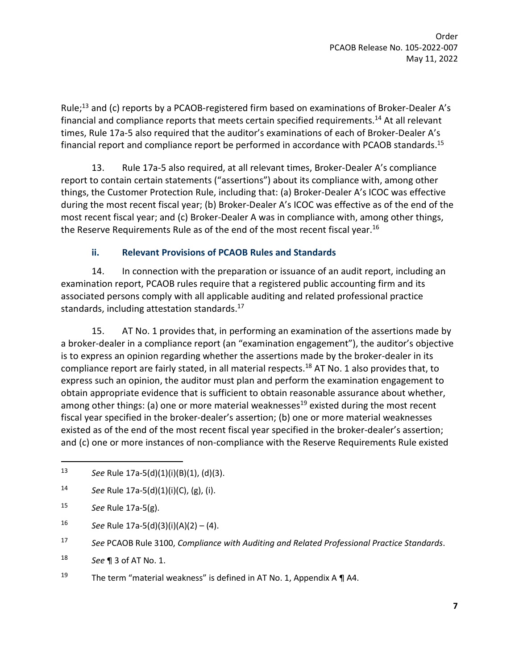Rule;<sup>13</sup> and (c) reports by a PCAOB-registered firm based on examinations of Broker-Dealer A's financial and compliance reports that meets certain specified requirements.<sup>14</sup> At all relevant times, Rule 17a-5 also required that the auditor's examinations of each of Broker-Dealer A's financial report and compliance report be performed in accordance with PCAOB standards.<sup>15</sup>

13. Rule 17a-5 also required, at all relevant times, Broker-Dealer A's compliance report to contain certain statements ("assertions") about its compliance with, among other things, the Customer Protection Rule, including that: (a) Broker-Dealer A's ICOC was effective during the most recent fiscal year; (b) Broker-Dealer A's ICOC was effective as of the end of the most recent fiscal year; and (c) Broker-Dealer A was in compliance with, among other things, the Reserve Requirements Rule as of the end of the most recent fiscal year.<sup>16</sup>

#### **ii. Relevant Provisions of PCAOB Rules and Standards**

14. In connection with the preparation or issuance of an audit report, including an examination report, PCAOB rules require that a registered public accounting firm and its associated persons comply with all applicable auditing and related professional practice standards, including attestation standards.<sup>17</sup>

15. AT No. 1 provides that, in performing an examination of the assertions made by a broker-dealer in a compliance report (an "examination engagement"), the auditor's objective is to express an opinion regarding whether the assertions made by the broker-dealer in its compliance report are fairly stated, in all material respects.<sup>18</sup> AT No. 1 also provides that, to express such an opinion, the auditor must plan and perform the examination engagement to obtain appropriate evidence that is sufficient to obtain reasonable assurance about whether, among other things: (a) one or more material weaknesses<sup>19</sup> existed during the most recent fiscal year specified in the broker-dealer's assertion; (b) one or more material weaknesses existed as of the end of the most recent fiscal year specified in the broker-dealer's assertion; and (c) one or more instances of non-compliance with the Reserve Requirements Rule existed

14 *See* Rule 17a-5(d)(1)(i)(C), (g), (i).

16 *See* Rule 17a-5(d)(3)(i)(A)(2) – (4).

<sup>13</sup> *See* Rule 17a-5(d)(1)(i)(B)(1), (d)(3).

<sup>15</sup> *See* Rule 17a-5(g).

<sup>17</sup> *See* PCAOB Rule 3100, *Compliance with Auditing and Related Professional Practice Standards*.

<sup>18</sup> *See* ¶ 3 of AT No. 1.

<sup>&</sup>lt;sup>19</sup> The term "material weakness" is defined in AT No. 1, Appendix A  $\P$  A4.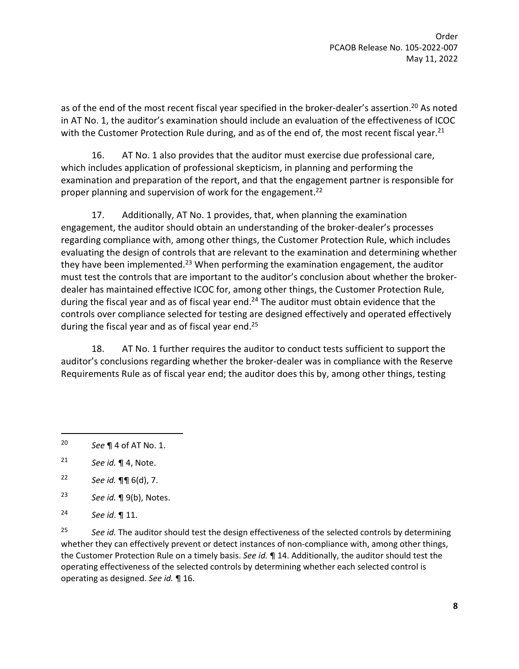as of the end of the most recent fiscal year specified in the broker-dealer's assertion.<sup>20</sup> As noted in AT No. 1, the auditor's examination should include an evaluation of the effectiveness of ICOC with the Customer Protection Rule during, and as of the end of, the most recent fiscal year.<sup>21</sup>

16. AT No. 1 also provides that the auditor must exercise due professional care, which includes application of professional skepticism, in planning and performing the examination and preparation of the report, and that the engagement partner is responsible for proper planning and supervision of work for the engagement.<sup>22</sup>

17. Additionally, AT No. 1 provides, that, when planning the examination engagement, the auditor should obtain an understanding of the broker-dealer's processes regarding compliance with, among other things, the Customer Protection Rule, which includes evaluating the design of controls that are relevant to the examination and determining whether they have been implemented.<sup>23</sup> When performing the examination engagement, the auditor must test the controls that are important to the auditor's conclusion about whether the brokerdealer has maintained effective ICOC for, among other things, the Customer Protection Rule, during the fiscal year and as of fiscal year end. $24$  The auditor must obtain evidence that the controls over compliance selected for testing are designed effectively and operated effectively during the fiscal year and as of fiscal year end.<sup>25</sup>

18. AT No. 1 further requires the auditor to conduct tests sufficient to support the auditor's conclusions regarding whether the broker-dealer was in compliance with the Reserve Requirements Rule as of fiscal year end; the auditor does this by, among other things, testing

25 *See id.* The auditor should test the design effectiveness of the selected controls by determining whether they can effectively prevent or detect instances of non-compliance with, among other things, the Customer Protection Rule on a timely basis. *See id.* ¶ 14. Additionally, the auditor should test the operating effectiveness of the selected controls by determining whether each selected control is operating as designed. *See id.* ¶ 16.

<sup>20</sup> *See* ¶ 4 of AT No. 1.

<sup>21</sup> *See id.* ¶ 4, Note.

<sup>22</sup> *See id.* ¶¶ 6(d), 7.

<sup>23</sup> *See id.* ¶ 9(b), Notes.

<sup>24</sup> *See id*. ¶ 11.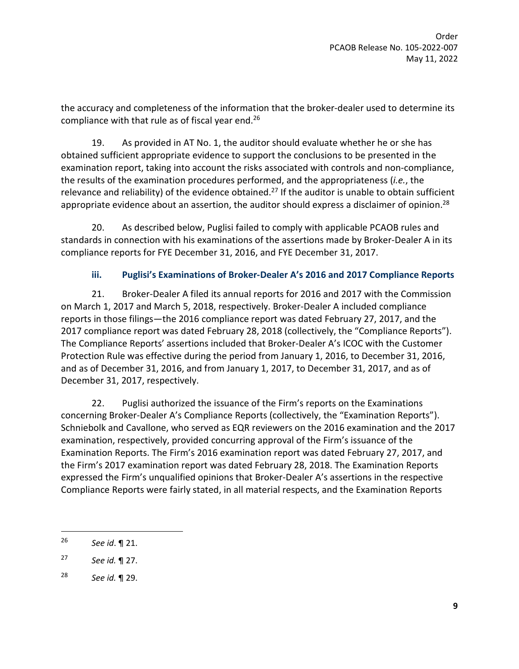the accuracy and completeness of the information that the broker-dealer used to determine its compliance with that rule as of fiscal year end.<sup>26</sup>

19. As provided in AT No. 1, the auditor should evaluate whether he or she has obtained sufficient appropriate evidence to support the conclusions to be presented in the examination report, taking into account the risks associated with controls and non-compliance, the results of the examination procedures performed, and the appropriateness (*i.e.*, the relevance and reliability) of the evidence obtained.<sup>27</sup> If the auditor is unable to obtain sufficient appropriate evidence about an assertion, the auditor should express a disclaimer of opinion.<sup>28</sup>

20. As described below, Puglisi failed to comply with applicable PCAOB rules and standards in connection with his examinations of the assertions made by Broker-Dealer A in its compliance reports for FYE December 31, 2016, and FYE December 31, 2017.

### **iii. Puglisi's Examinations of Broker-Dealer A's 2016 and 2017 Compliance Reports**

21. Broker-Dealer A filed its annual reports for 2016 and 2017 with the Commission on March 1, 2017 and March 5, 2018, respectively. Broker-Dealer A included compliance reports in those filings—the 2016 compliance report was dated February 27, 2017, and the 2017 compliance report was dated February 28, 2018 (collectively, the "Compliance Reports"). The Compliance Reports' assertions included that Broker-Dealer A's ICOC with the Customer Protection Rule was effective during the period from January 1, 2016, to December 31, 2016, and as of December 31, 2016, and from January 1, 2017, to December 31, 2017, and as of December 31, 2017, respectively.

22. Puglisi authorized the issuance of the Firm's reports on the Examinations concerning Broker-Dealer A's Compliance Reports (collectively, the "Examination Reports"). Schniebolk and Cavallone, who served as EQR reviewers on the 2016 examination and the 2017 examination, respectively, provided concurring approval of the Firm's issuance of the Examination Reports. The Firm's 2016 examination report was dated February 27, 2017, and the Firm's 2017 examination report was dated February 28, 2018. The Examination Reports expressed the Firm's unqualified opinions that Broker-Dealer A's assertions in the respective Compliance Reports were fairly stated, in all material respects, and the Examination Reports

<sup>26</sup> *See id*. ¶ 21.

<sup>27</sup> *See id.* ¶ 27.

<sup>28</sup> *See id.* ¶ 29.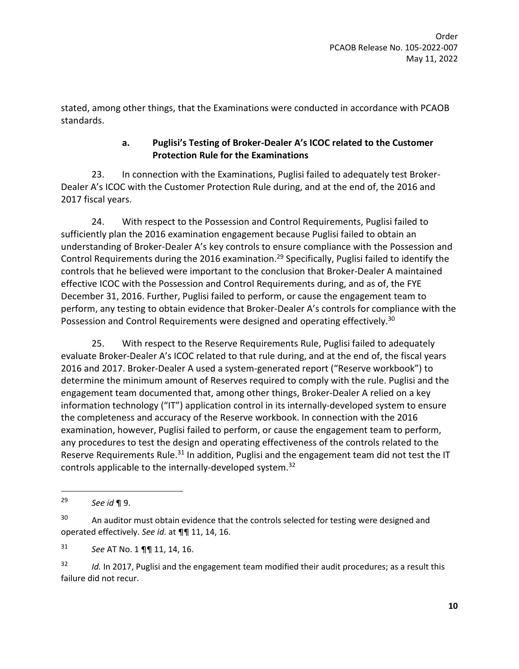stated, among other things, that the Examinations were conducted in accordance with PCAOB standards.

### **a. Puglisi's Testing of Broker-Dealer A's ICOC related to the Customer Protection Rule for the Examinations**

23. In connection with the Examinations, Puglisi failed to adequately test Broker-Dealer A's ICOC with the Customer Protection Rule during, and at the end of, the 2016 and 2017 fiscal years.

24. With respect to the Possession and Control Requirements, Puglisi failed to sufficiently plan the 2016 examination engagement because Puglisi failed to obtain an understanding of Broker-Dealer A's key controls to ensure compliance with the Possession and Control Requirements during the 2016 examination.<sup>29</sup> Specifically, Puglisi failed to identify the controls that he believed were important to the conclusion that Broker-Dealer A maintained effective ICOC with the Possession and Control Requirements during, and as of, the FYE December 31, 2016. Further, Puglisi failed to perform, or cause the engagement team to perform, any testing to obtain evidence that Broker-Dealer A's controls for compliance with the Possession and Control Requirements were designed and operating effectively.<sup>30</sup>

25. With respect to the Reserve Requirements Rule, Puglisi failed to adequately evaluate Broker-Dealer A's ICOC related to that rule during, and at the end of, the fiscal years 2016 and 2017. Broker-Dealer A used a system-generated report ("Reserve workbook") to determine the minimum amount of Reserves required to comply with the rule. Puglisi and the engagement team documented that, among other things, Broker-Dealer A relied on a key information technology ("IT") application control in its internally-developed system to ensure the completeness and accuracy of the Reserve workbook. In connection with the 2016 examination, however, Puglisi failed to perform, or cause the engagement team to perform, any procedures to test the design and operating effectiveness of the controls related to the Reserve Requirements Rule.<sup>31</sup> In addition, Puglisi and the engagement team did not test the IT controls applicable to the internally-developed system.<sup>32</sup>

<sup>29</sup> *See id* ¶ 9.

<sup>&</sup>lt;sup>30</sup> An auditor must obtain evidence that the controls selected for testing were designed and operated effectively. *See id*. at ¶¶ 11, 14, 16.

<sup>31</sup> *See* AT No. 1 ¶¶ 11, 14, 16.

<sup>32</sup> *Id.* In 2017, Puglisi and the engagement team modified their audit procedures; as a result this failure did not recur.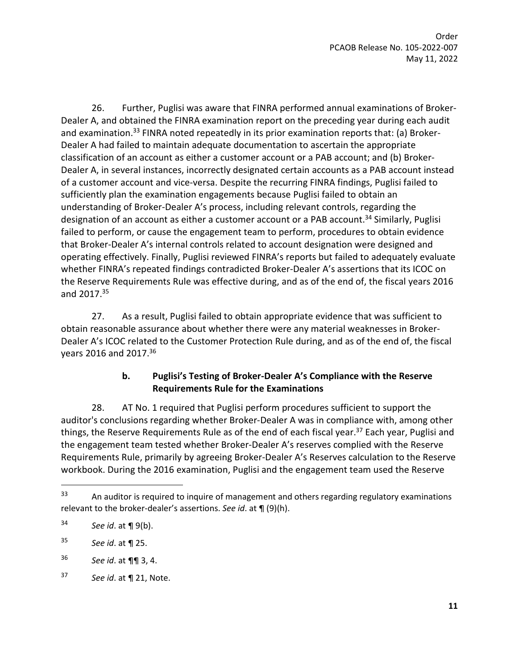26. Further, Puglisi was aware that FINRA performed annual examinations of Broker-Dealer A, and obtained the FINRA examination report on the preceding year during each audit and examination.<sup>33</sup> FINRA noted repeatedly in its prior examination reports that: (a) Broker-Dealer A had failed to maintain adequate documentation to ascertain the appropriate classification of an account as either a customer account or a PAB account; and (b) Broker-Dealer A, in several instances, incorrectly designated certain accounts as a PAB account instead of a customer account and vice-versa. Despite the recurring FINRA findings, Puglisi failed to sufficiently plan the examination engagements because Puglisi failed to obtain an understanding of Broker-Dealer A's process, including relevant controls, regarding the designation of an account as either a customer account or a PAB account.<sup>34</sup> Similarly, Puglisi failed to perform, or cause the engagement team to perform, procedures to obtain evidence that Broker-Dealer A's internal controls related to account designation were designed and operating effectively. Finally, Puglisi reviewed FINRA's reports but failed to adequately evaluate whether FINRA's repeated findings contradicted Broker-Dealer A's assertions that its ICOC on the Reserve Requirements Rule was effective during, and as of the end of, the fiscal years 2016 and 2017.<sup>35</sup>

27. As a result, Puglisi failed to obtain appropriate evidence that was sufficient to obtain reasonable assurance about whether there were any material weaknesses in Broker-Dealer A's ICOC related to the Customer Protection Rule during, and as of the end of, the fiscal years 2016 and 2017.<sup>36</sup>

#### **b. Puglisi's Testing of Broker-Dealer A's Compliance with the Reserve Requirements Rule for the Examinations**

28. AT No. 1 required that Puglisi perform procedures sufficient to support the auditor's conclusions regarding whether Broker-Dealer A was in compliance with, among other things, the Reserve Requirements Rule as of the end of each fiscal year.<sup>37</sup> Each year, Puglisi and the engagement team tested whether Broker-Dealer A's reserves complied with the Reserve Requirements Rule, primarily by agreeing Broker-Dealer A's Reserves calculation to the Reserve workbook. During the 2016 examination, Puglisi and the engagement team used the Reserve

 $33$  An auditor is required to inquire of management and others regarding regulatory examinations relevant to the broker-dealer's assertions. *See id*. at ¶ (9)(h).

<sup>34</sup> *See id*. at ¶ 9(b).

<sup>35</sup> *See id*. at ¶ 25.

<sup>36</sup> *See id*. at ¶¶ 3, 4.

<sup>37</sup> *See id*. at ¶ 21, Note.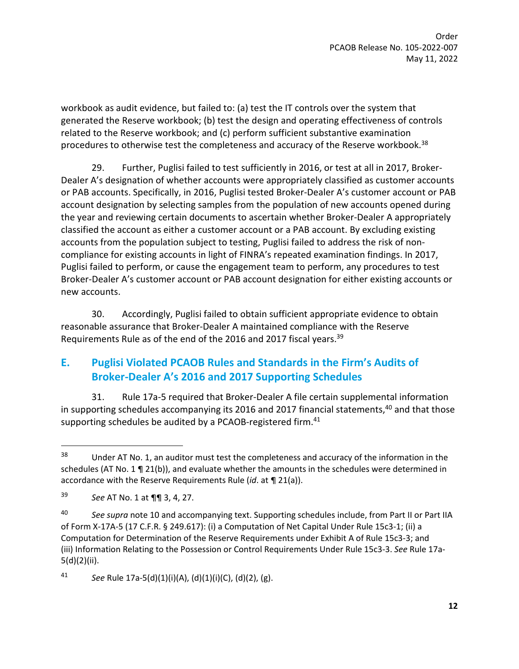workbook as audit evidence, but failed to: (a) test the IT controls over the system that generated the Reserve workbook; (b) test the design and operating effectiveness of controls related to the Reserve workbook; and (c) perform sufficient substantive examination procedures to otherwise test the completeness and accuracy of the Reserve workbook.<sup>38</sup>

29. Further, Puglisi failed to test sufficiently in 2016, or test at all in 2017, Broker-Dealer A's designation of whether accounts were appropriately classified as customer accounts or PAB accounts. Specifically, in 2016, Puglisi tested Broker-Dealer A's customer account or PAB account designation by selecting samples from the population of new accounts opened during the year and reviewing certain documents to ascertain whether Broker-Dealer A appropriately classified the account as either a customer account or a PAB account. By excluding existing accounts from the population subject to testing, Puglisi failed to address the risk of noncompliance for existing accounts in light of FINRA's repeated examination findings. In 2017, Puglisi failed to perform, or cause the engagement team to perform, any procedures to test Broker-Dealer A's customer account or PAB account designation for either existing accounts or new accounts.

30. Accordingly, Puglisi failed to obtain sufficient appropriate evidence to obtain reasonable assurance that Broker-Dealer A maintained compliance with the Reserve Requirements Rule as of the end of the 2016 and 2017 fiscal years.<sup>39</sup>

# **E. Puglisi Violated PCAOB Rules and Standards in the Firm's Audits of Broker-Dealer A's 2016 and 2017 Supporting Schedules**

<span id="page-11-0"></span>31. Rule 17a-5 required that Broker-Dealer A file certain supplemental information in supporting schedules accompanying its 2016 and 2017 financial statements,<sup>40</sup> and that those supporting schedules be audited by a PCAOB-registered firm.<sup>41</sup>

41 *See* Rule 17a-5(d)(1)(i)(A), (d)(1)(i)(C), (d)(2), (g).

<sup>&</sup>lt;sup>38</sup> Under AT No. 1, an auditor must test the completeness and accuracy of the information in the schedules (AT No. 1 ¶ 21(b)), and evaluate whether the amounts in the schedules were determined in accordance with the Reserve Requirements Rule (*id*. at ¶ 21(a)).

<sup>39</sup> *See* AT No. 1 at ¶¶ 3, 4, 27.

<sup>40</sup> *See supra* not[e 10](#page-5-0) and accompanying text. Supporting schedules include, from Part II or Part IIA of Form X-17A-5 (17 C.F.R. § 249.617): (i) a Computation of Net Capital Under Rule 15c3-1; (ii) a Computation for Determination of the Reserve Requirements under Exhibit A of Rule 15c3-3; and (iii) Information Relating to the Possession or Control Requirements Under Rule 15c3-3. *See* Rule 17a-5(d)(2)(ii).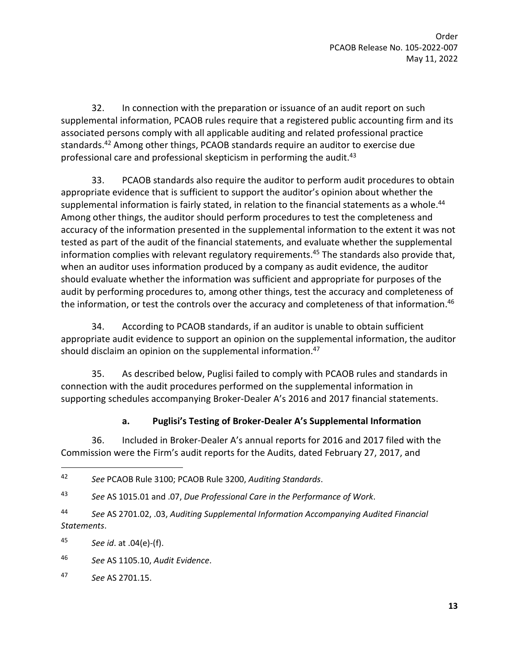32. In connection with the preparation or issuance of an audit report on such supplemental information, PCAOB rules require that a registered public accounting firm and its associated persons comply with all applicable auditing and related professional practice standards.<sup>42</sup> Among other things, PCAOB standards require an auditor to exercise due professional care and professional skepticism in performing the audit.<sup>43</sup>

33. PCAOB standards also require the auditor to perform audit procedures to obtain appropriate evidence that is sufficient to support the auditor's opinion about whether the supplemental information is fairly stated, in relation to the financial statements as a whole.<sup>44</sup> Among other things, the auditor should perform procedures to test the completeness and accuracy of the information presented in the supplemental information to the extent it was not tested as part of the audit of the financial statements, and evaluate whether the supplemental information complies with relevant regulatory requirements.<sup>45</sup> The standards also provide that, when an auditor uses information produced by a company as audit evidence, the auditor should evaluate whether the information was sufficient and appropriate for purposes of the audit by performing procedures to, among other things, test the accuracy and completeness of the information, or test the controls over the accuracy and completeness of that information.<sup>46</sup>

34. According to PCAOB standards, if an auditor is unable to obtain sufficient appropriate audit evidence to support an opinion on the supplemental information, the auditor should disclaim an opinion on the supplemental information.<sup>47</sup>

35. As described below, Puglisi failed to comply with PCAOB rules and standards in connection with the audit procedures performed on the supplemental information in supporting schedules accompanying Broker-Dealer A's 2016 and 2017 financial statements.

### **a. Puglisi's Testing of Broker-Dealer A's Supplemental Information**

36. Included in Broker-Dealer A's annual reports for 2016 and 2017 filed with the Commission were the Firm's audit reports for the Audits, dated February 27, 2017, and

44 *See* AS 2701.02, .03, *Auditing Supplemental Information Accompanying Audited Financial Statements*.

45 *See id*. at .04(e)-(f).

46 *See* AS 1105.10, *Audit Evidence*.

<sup>42</sup> *See* PCAOB Rule 3100; PCAOB Rule 3200, *Auditing Standards*.

<sup>43</sup> *See* AS 1015.01 and .07, *Due Professional Care in the Performance of Work*.

<sup>47</sup> *See* AS 2701.15.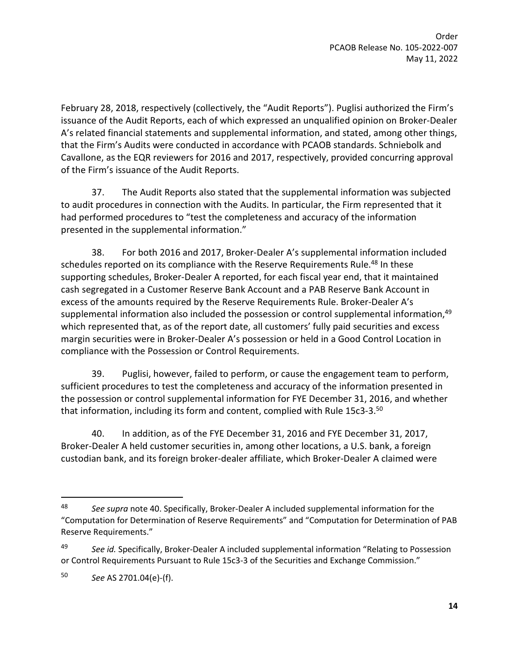February 28, 2018, respectively (collectively, the "Audit Reports"). Puglisi authorized the Firm's issuance of the Audit Reports, each of which expressed an unqualified opinion on Broker-Dealer A's related financial statements and supplemental information, and stated, among other things, that the Firm's Audits were conducted in accordance with PCAOB standards. Schniebolk and Cavallone, as the EQR reviewers for 2016 and 2017, respectively, provided concurring approval of the Firm's issuance of the Audit Reports.

37. The Audit Reports also stated that the supplemental information was subjected to audit procedures in connection with the Audits. In particular, the Firm represented that it had performed procedures to "test the completeness and accuracy of the information presented in the supplemental information."

38. For both 2016 and 2017, Broker-Dealer A's supplemental information included schedules reported on its compliance with the Reserve Requirements Rule.<sup>48</sup> In these supporting schedules, Broker-Dealer A reported, for each fiscal year end, that it maintained cash segregated in a Customer Reserve Bank Account and a PAB Reserve Bank Account in excess of the amounts required by the Reserve Requirements Rule. Broker-Dealer A's supplemental information also included the possession or control supplemental information,<sup>49</sup> which represented that, as of the report date, all customers' fully paid securities and excess margin securities were in Broker-Dealer A's possession or held in a Good Control Location in compliance with the Possession or Control Requirements.

39. Puglisi, however, failed to perform, or cause the engagement team to perform, sufficient procedures to test the completeness and accuracy of the information presented in the possession or control supplemental information for FYE December 31, 2016, and whether that information, including its form and content, complied with Rule 15c3-3.<sup>50</sup>

40. In addition, as of the FYE December 31, 2016 and FYE December 31, 2017, Broker-Dealer A held customer securities in, among other locations, a U.S. bank, a foreign custodian bank, and its foreign broker-dealer affiliate, which Broker-Dealer A claimed were

<sup>48</sup> *See supra* not[e 40.](#page-11-0) Specifically, Broker-Dealer A included supplemental information for the "Computation for Determination of Reserve Requirements" and "Computation for Determination of PAB Reserve Requirements."

<sup>49</sup> *See id.* Specifically, Broker-Dealer A included supplemental information "Relating to Possession or Control Requirements Pursuant to Rule 15c3-3 of the Securities and Exchange Commission."

<sup>50</sup> *See* AS 2701.04(e)-(f).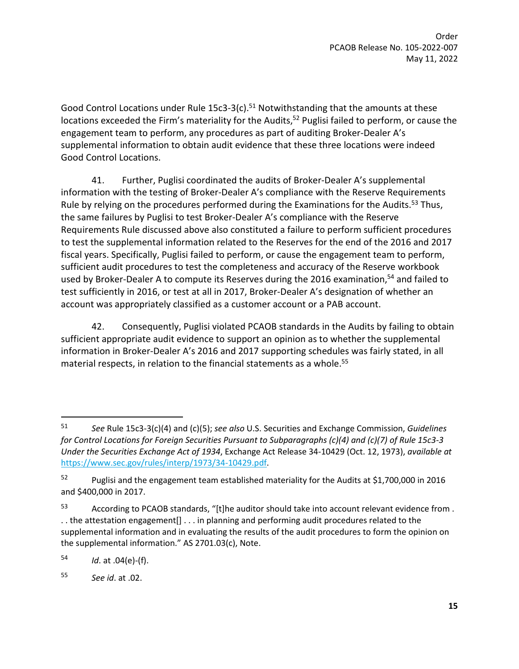Good Control Locations under Rule  $15c3-3(c)$ .<sup>51</sup> Notwithstanding that the amounts at these locations exceeded the Firm's materiality for the Audits,<sup>52</sup> Puglisi failed to perform, or cause the engagement team to perform, any procedures as part of auditing Broker-Dealer A's supplemental information to obtain audit evidence that these three locations were indeed Good Control Locations.

41. Further, Puglisi coordinated the audits of Broker-Dealer A's supplemental information with the testing of Broker-Dealer A's compliance with the Reserve Requirements Rule by relying on the procedures performed during the Examinations for the Audits.<sup>53</sup> Thus, the same failures by Puglisi to test Broker-Dealer A's compliance with the Reserve Requirements Rule discussed above also constituted a failure to perform sufficient procedures to test the supplemental information related to the Reserves for the end of the 2016 and 2017 fiscal years. Specifically, Puglisi failed to perform, or cause the engagement team to perform, sufficient audit procedures to test the completeness and accuracy of the Reserve workbook used by Broker-Dealer A to compute its Reserves during the 2016 examination,<sup>54</sup> and failed to test sufficiently in 2016, or test at all in 2017, Broker-Dealer A's designation of whether an account was appropriately classified as a customer account or a PAB account.

42. Consequently, Puglisi violated PCAOB standards in the Audits by failing to obtain sufficient appropriate audit evidence to support an opinion as to whether the supplemental information in Broker-Dealer A's 2016 and 2017 supporting schedules was fairly stated, in all material respects, in relation to the financial statements as a whole.<sup>55</sup>

54 *Id*. at .04(e)-(f).

55 *See id*. at .02.

<sup>51</sup> *See* Rule 15c3-3(c)(4) and (c)(5); *see also* U.S. Securities and Exchange Commission, *Guidelines for Control Locations for Foreign Securities Pursuant to Subparagraphs (c)(4) and (c)(7) of Rule 15c3-3 Under the Securities Exchange Act of 1934*, Exchange Act Release 34-10429 (Oct. 12, 1973), *available at* [https://www.sec.gov/rules/interp/1973/34-10429.pdf.](https://www.sec.gov/rules/interp/1973/34-10429.pdf)

<sup>&</sup>lt;sup>52</sup> Puglisi and the engagement team established materiality for the Audits at \$1,700,000 in 2016 and \$400,000 in 2017.

<sup>53</sup> According to PCAOB standards, "[t]he auditor should take into account relevant evidence from . . . the attestation engagement[] . . . in planning and performing audit procedures related to the supplemental information and in evaluating the results of the audit procedures to form the opinion on the supplemental information." AS 2701.03(c), Note.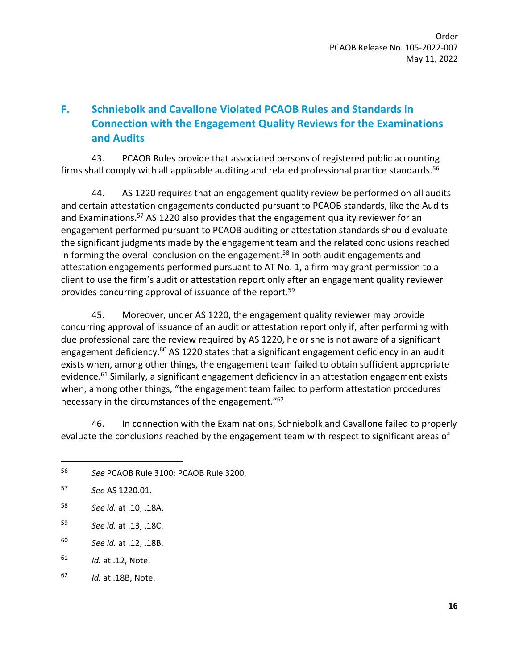# **F. Schniebolk and Cavallone Violated PCAOB Rules and Standards in Connection with the Engagement Quality Reviews for the Examinations and Audits**

43. PCAOB Rules provide that associated persons of registered public accounting firms shall comply with all applicable auditing and related professional practice standards.<sup>56</sup>

44. AS 1220 requires that an engagement quality review be performed on all audits and certain attestation engagements conducted pursuant to PCAOB standards, like the Audits and Examinations.<sup>57</sup> AS 1220 also provides that the engagement quality reviewer for an engagement performed pursuant to PCAOB auditing or attestation standards should evaluate the significant judgments made by the engagement team and the related conclusions reached in forming the overall conclusion on the engagement.<sup>58</sup> In both audit engagements and attestation engagements performed pursuant to AT No. 1, a firm may grant permission to a client to use the firm's audit or attestation report only after an engagement quality reviewer provides concurring approval of issuance of the report.<sup>59</sup>

45. Moreover, under AS 1220, the engagement quality reviewer may provide concurring approval of issuance of an audit or attestation report only if, after performing with due professional care the review required by AS 1220, he or she is not aware of a significant engagement deficiency.<sup>60</sup> AS 1220 states that a significant engagement deficiency in an audit exists when, among other things, the engagement team failed to obtain sufficient appropriate evidence.<sup>61</sup> Similarly, a significant engagement deficiency in an attestation engagement exists when, among other things, "the engagement team failed to perform attestation procedures necessary in the circumstances of the engagement."<sup>62</sup>

46. In connection with the Examinations, Schniebolk and Cavallone failed to properly evaluate the conclusions reached by the engagement team with respect to significant areas of

<sup>56</sup> *See* PCAOB Rule 3100; PCAOB Rule 3200.

<sup>57</sup> *See* AS 1220.01.

<sup>58</sup> *See id.* at .10, .18A.

<sup>59</sup> *See id.* at .13, .18C.

<sup>60</sup> *See id.* at .12, .18B.

<sup>61</sup> *Id.* at .12, Note.

<sup>62</sup> *Id.* at .18B, Note.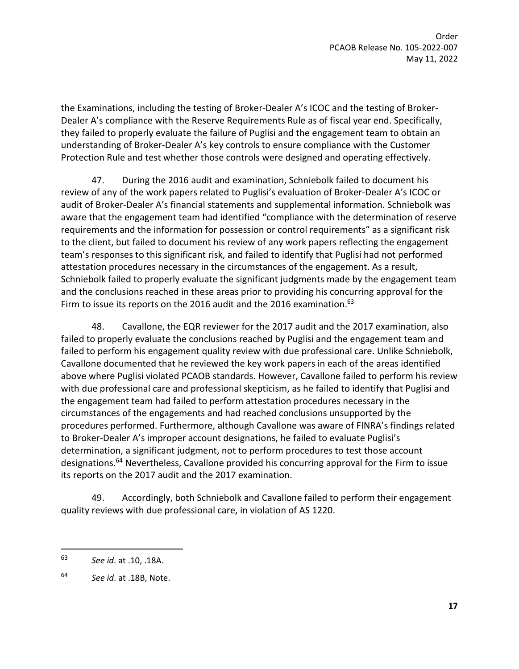the Examinations, including the testing of Broker-Dealer A's ICOC and the testing of Broker-Dealer A's compliance with the Reserve Requirements Rule as of fiscal year end. Specifically, they failed to properly evaluate the failure of Puglisi and the engagement team to obtain an understanding of Broker-Dealer A's key controls to ensure compliance with the Customer Protection Rule and test whether those controls were designed and operating effectively.

47. During the 2016 audit and examination, Schniebolk failed to document his review of any of the work papers related to Puglisi's evaluation of Broker-Dealer A's ICOC or audit of Broker-Dealer A's financial statements and supplemental information. Schniebolk was aware that the engagement team had identified "compliance with the determination of reserve requirements and the information for possession or control requirements" as a significant risk to the client, but failed to document his review of any work papers reflecting the engagement team's responses to this significant risk, and failed to identify that Puglisi had not performed attestation procedures necessary in the circumstances of the engagement. As a result, Schniebolk failed to properly evaluate the significant judgments made by the engagement team and the conclusions reached in these areas prior to providing his concurring approval for the Firm to issue its reports on the 2016 audit and the 2016 examination. $^{63}$ 

48. Cavallone, the EQR reviewer for the 2017 audit and the 2017 examination, also failed to properly evaluate the conclusions reached by Puglisi and the engagement team and failed to perform his engagement quality review with due professional care. Unlike Schniebolk, Cavallone documented that he reviewed the key work papers in each of the areas identified above where Puglisi violated PCAOB standards. However, Cavallone failed to perform his review with due professional care and professional skepticism, as he failed to identify that Puglisi and the engagement team had failed to perform attestation procedures necessary in the circumstances of the engagements and had reached conclusions unsupported by the procedures performed. Furthermore, although Cavallone was aware of FINRA's findings related to Broker-Dealer A's improper account designations, he failed to evaluate Puglisi's determination, a significant judgment, not to perform procedures to test those account designations.<sup>64</sup> Nevertheless, Cavallone provided his concurring approval for the Firm to issue its reports on the 2017 audit and the 2017 examination.

49. Accordingly, both Schniebolk and Cavallone failed to perform their engagement quality reviews with due professional care, in violation of AS 1220.

<sup>63</sup> *See id*. at .10, .18A.

<sup>64</sup> *See id*. at .18B, Note.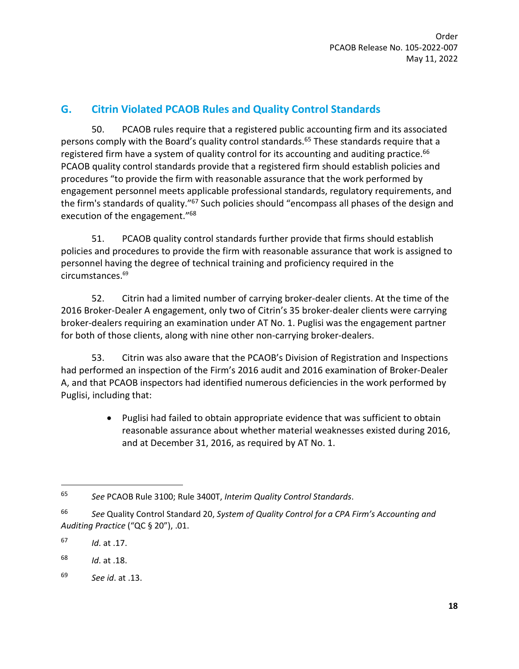## **G. Citrin Violated PCAOB Rules and Quality Control Standards**

50. PCAOB rules require that a registered public accounting firm and its associated persons comply with the Board's quality control standards.<sup>65</sup> These standards require that a registered firm have a system of quality control for its accounting and auditing practice.<sup>66</sup> PCAOB quality control standards provide that a registered firm should establish policies and procedures "to provide the firm with reasonable assurance that the work performed by engagement personnel meets applicable professional standards, regulatory requirements, and the firm's standards of quality."<sup>67</sup> Such policies should "encompass all phases of the design and execution of the engagement."<sup>68</sup>

51. PCAOB quality control standards further provide that firms should establish policies and procedures to provide the firm with reasonable assurance that work is assigned to personnel having the degree of technical training and proficiency required in the circumstances.<sup>69</sup>

52. Citrin had a limited number of carrying broker-dealer clients. At the time of the 2016 Broker-Dealer A engagement, only two of Citrin's 35 broker-dealer clients were carrying broker-dealers requiring an examination under AT No. 1. Puglisi was the engagement partner for both of those clients, along with nine other non-carrying broker-dealers.

53. Citrin was also aware that the PCAOB's Division of Registration and Inspections had performed an inspection of the Firm's 2016 audit and 2016 examination of Broker-Dealer A, and that PCAOB inspectors had identified numerous deficiencies in the work performed by Puglisi, including that:

> Puglisi had failed to obtain appropriate evidence that was sufficient to obtain reasonable assurance about whether material weaknesses existed during 2016, and at December 31, 2016, as required by AT No. 1.

67 *Id*. at .17.

<sup>65</sup> *See* PCAOB Rule 3100; Rule 3400T, *Interim Quality Control Standards*.

<sup>66</sup> *See* Quality Control Standard 20, *System of Quality Control for a CPA Firm's Accounting and Auditing Practice* ("QC § 20"), .01.

<sup>68</sup> *Id*. at .18.

<sup>69</sup> *See id*. at .13.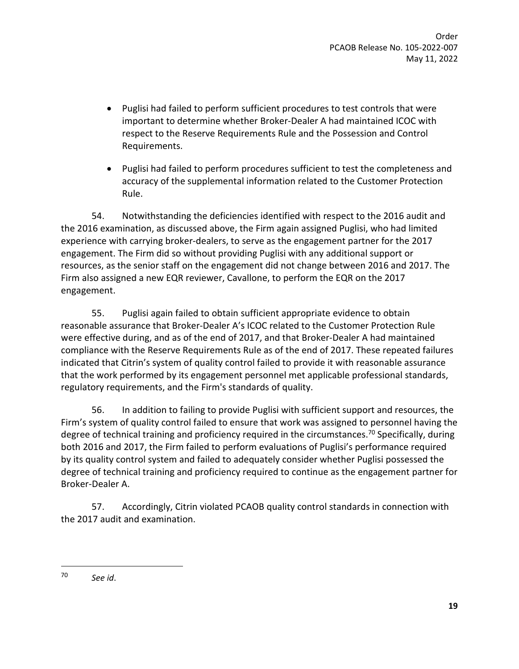- Puglisi had failed to perform sufficient procedures to test controls that were important to determine whether Broker-Dealer A had maintained ICOC with respect to the Reserve Requirements Rule and the Possession and Control Requirements.
- Puglisi had failed to perform procedures sufficient to test the completeness and accuracy of the supplemental information related to the Customer Protection Rule.

54. Notwithstanding the deficiencies identified with respect to the 2016 audit and the 2016 examination, as discussed above, the Firm again assigned Puglisi, who had limited experience with carrying broker-dealers, to serve as the engagement partner for the 2017 engagement. The Firm did so without providing Puglisi with any additional support or resources, as the senior staff on the engagement did not change between 2016 and 2017. The Firm also assigned a new EQR reviewer, Cavallone, to perform the EQR on the 2017 engagement.

55. Puglisi again failed to obtain sufficient appropriate evidence to obtain reasonable assurance that Broker-Dealer A's ICOC related to the Customer Protection Rule were effective during, and as of the end of 2017, and that Broker-Dealer A had maintained compliance with the Reserve Requirements Rule as of the end of 2017. These repeated failures indicated that Citrin's system of quality control failed to provide it with reasonable assurance that the work performed by its engagement personnel met applicable professional standards, regulatory requirements, and the Firm's standards of quality.

56. In addition to failing to provide Puglisi with sufficient support and resources, the Firm's system of quality control failed to ensure that work was assigned to personnel having the degree of technical training and proficiency required in the circumstances.<sup>70</sup> Specifically, during both 2016 and 2017, the Firm failed to perform evaluations of Puglisi's performance required by its quality control system and failed to adequately consider whether Puglisi possessed the degree of technical training and proficiency required to continue as the engagement partner for Broker-Dealer A.

57. Accordingly, Citrin violated PCAOB quality control standards in connection with the 2017 audit and examination.

<sup>70</sup> *See id*.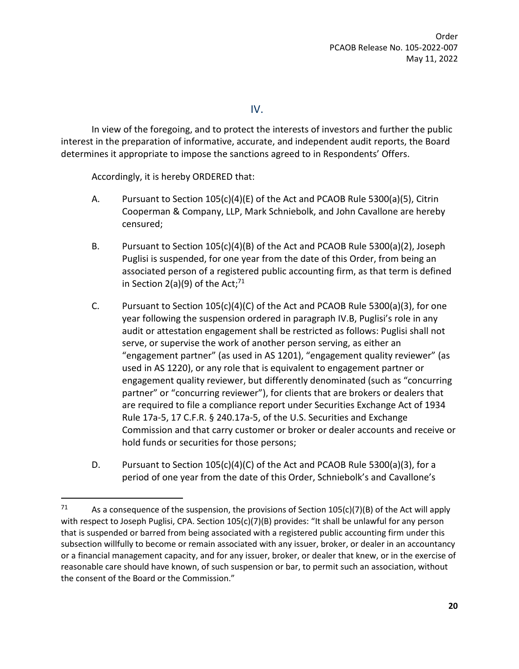IV.

In view of the foregoing, and to protect the interests of investors and further the public interest in the preparation of informative, accurate, and independent audit reports, the Board determines it appropriate to impose the sanctions agreed to in Respondents' Offers.

Accordingly, it is hereby ORDERED that:

- A. Pursuant to Section 105(c)(4)(E) of the Act and PCAOB Rule 5300(a)(5), Citrin Cooperman & Company, LLP, Mark Schniebolk, and John Cavallone are hereby censured;
- B. Pursuant to Section 105(c)(4)(B) of the Act and PCAOB Rule 5300(a)(2), Joseph Puglisi is suspended, for one year from the date of this Order, from being an associated person of a registered public accounting firm, as that term is defined in Section 2(a)(9) of the Act;<sup>71</sup>
- C. Pursuant to Section 105(c)(4)(C) of the Act and PCAOB Rule 5300(a)(3), for one year following the suspension ordered in paragraph IV.B, Puglisi's role in any audit or attestation engagement shall be restricted as follows: Puglisi shall not serve, or supervise the work of another person serving, as either an "engagement partner" (as used in AS 1201), "engagement quality reviewer" (as used in AS 1220), or any role that is equivalent to engagement partner or engagement quality reviewer, but differently denominated (such as "concurring partner" or "concurring reviewer"), for clients that are brokers or dealers that are required to file a compliance report under Securities Exchange Act of 1934 Rule 17a-5, 17 C.F.R. § 240.17a-5, of the U.S. Securities and Exchange Commission and that carry customer or broker or dealer accounts and receive or hold funds or securities for those persons;
- D. Pursuant to Section 105(c)(4)(C) of the Act and PCAOB Rule 5300(a)(3), for a period of one year from the date of this Order, Schniebolk's and Cavallone's

<sup>&</sup>lt;sup>71</sup> As a consequence of the suspension, the provisions of Section 105(c)(7)(B) of the Act will apply with respect to Joseph Puglisi, CPA. Section 105(c)(7)(B) provides: "It shall be unlawful for any person that is suspended or barred from being associated with a registered public accounting firm under this subsection willfully to become or remain associated with any issuer, broker, or dealer in an accountancy or a financial management capacity, and for any issuer, broker, or dealer that knew, or in the exercise of reasonable care should have known, of such suspension or bar, to permit such an association, without the consent of the Board or the Commission."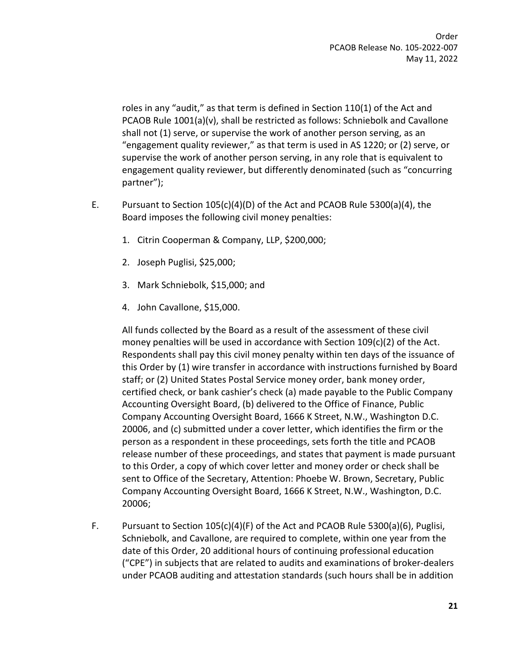roles in any "audit," as that term is defined in Section 110(1) of the Act and PCAOB Rule 1001(a)(v), shall be restricted as follows: Schniebolk and Cavallone shall not (1) serve, or supervise the work of another person serving, as an "engagement quality reviewer," as that term is used in AS 1220; or (2) serve, or supervise the work of another person serving, in any role that is equivalent to engagement quality reviewer, but differently denominated (such as "concurring partner");

- E. Pursuant to Section 105(c)(4)(D) of the Act and PCAOB Rule 5300(a)(4), the Board imposes the following civil money penalties:
	- 1. Citrin Cooperman & Company, LLP, \$200,000;
	- 2. Joseph Puglisi, \$25,000;
	- 3. Mark Schniebolk, \$15,000; and
	- 4. John Cavallone, \$15,000.

All funds collected by the Board as a result of the assessment of these civil money penalties will be used in accordance with Section 109(c)(2) of the Act. Respondents shall pay this civil money penalty within ten days of the issuance of this Order by (1) wire transfer in accordance with instructions furnished by Board staff; or (2) United States Postal Service money order, bank money order, certified check, or bank cashier's check (a) made payable to the Public Company Accounting Oversight Board, (b) delivered to the Office of Finance, Public Company Accounting Oversight Board, 1666 K Street, N.W., Washington D.C. 20006, and (c) submitted under a cover letter, which identifies the firm or the person as a respondent in these proceedings, sets forth the title and PCAOB release number of these proceedings, and states that payment is made pursuant to this Order, a copy of which cover letter and money order or check shall be sent to Office of the Secretary, Attention: Phoebe W. Brown, Secretary, Public Company Accounting Oversight Board, 1666 K Street, N.W., Washington, D.C. 20006;

F. Pursuant to Section 105(c)(4)(F) of the Act and PCAOB Rule 5300(a)(6), Puglisi, Schniebolk, and Cavallone, are required to complete, within one year from the date of this Order, 20 additional hours of continuing professional education ("CPE") in subjects that are related to audits and examinations of broker-dealers under PCAOB auditing and attestation standards (such hours shall be in addition